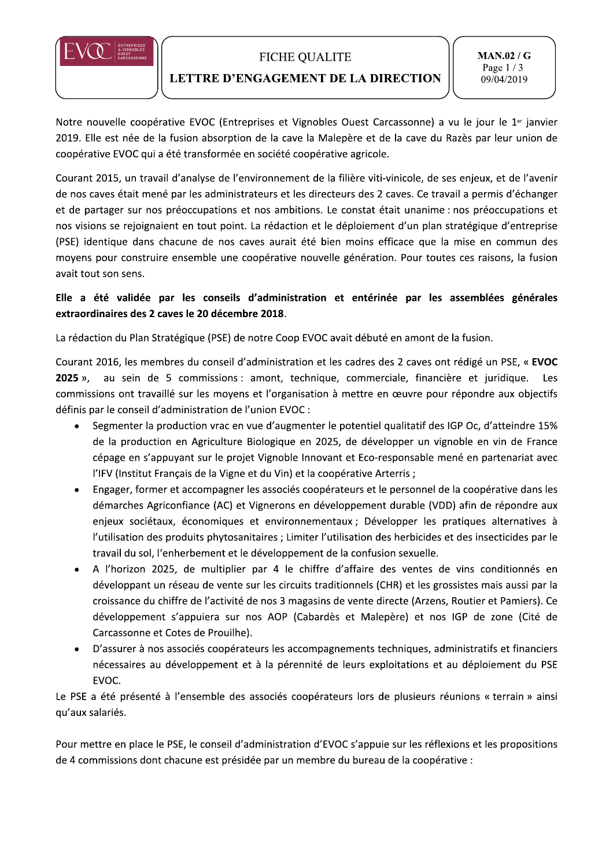

## **FICHE QUALITE**

## LETTRE D'ENGAGEMENT DE LA DIRECTION

**MAN.02/G** Page  $1/3$ 09/04/2019

Notre nouvelle coopérative EVOC (Entreprises et Vignobles Ouest Carcassonne) a vu le jour le 1er janvier 2019. Elle est née de la fusion absorption de la cave la Malepère et de la cave du Razès par leur union de coopérative EVOC qui a été transformée en société coopérative agricole.

Courant 2015, un travail d'analyse de l'environnement de la filière viti-vinicole, de ses enjeux, et de l'avenir de nos caves était mené par les administrateurs et les directeurs des 2 caves. Ce travail a permis d'échanger et de partager sur nos préoccupations et nos ambitions. Le constat était unanime : nos préoccupations et nos visions se rejoignaient en tout point. La rédaction et le déploiement d'un plan stratégique d'entreprise (PSE) identique dans chacune de nos caves aurait été bien moins efficace que la mise en commun des moyens pour construire ensemble une coopérative nouvelle génération. Pour toutes ces raisons, la fusion avait tout son sens.

# Elle a été validée par les conseils d'administration et entérinée par les assemblées générales extraordinaires des 2 caves le 20 décembre 2018.

La rédaction du Plan Stratégique (PSE) de notre Coop EVOC avait débuté en amont de la fusion.

Courant 2016, les membres du conseil d'administration et les cadres des 2 caves ont rédigé un PSE, « EVOC au sein de 5 commissions : amont, technique, commerciale, financière et juridique.  $2025$  », Les commissions ont travaillé sur les moyens et l'organisation à mettre en œuvre pour répondre aux objectifs définis par le conseil d'administration de l'union EVOC :

- Segmenter la production vrac en vue d'augmenter le potentiel qualitatif des IGP Oc, d'atteindre 15%  $\bullet$ de la production en Agriculture Biologique en 2025, de développer un vignoble en vin de France cépage en s'appuyant sur le projet Vignoble Innovant et Eco-responsable mené en partenariat avec l'IFV (Institut Français de la Vigne et du Vin) et la coopérative Arterris;
- Engager, former et accompagner les associés coopérateurs et le personnel de la coopérative dans les démarches Agriconfiance (AC) et Vignerons en développement durable (VDD) afin de répondre aux enjeux sociétaux, économiques et environnementaux ; Développer les pratiques alternatives à l'utilisation des produits phytosanitaires ; Limiter l'utilisation des herbicides et des insecticides par le travail du sol, l'enherbement et le développement de la confusion sexuelle.
- A l'horizon 2025, de multiplier par 4 le chiffre d'affaire des ventes de vins conditionnés en développant un réseau de vente sur les circuits traditionnels (CHR) et les grossistes mais aussi par la croissance du chiffre de l'activité de nos 3 magasins de vente directe (Arzens, Routier et Pamiers). Ce développement s'appuiera sur nos AOP (Cabardès et Malepère) et nos IGP de zone (Cité de Carcassonne et Cotes de Prouilhe).
- D'assurer à nos associés coopérateurs les accompagnements techniques, administratifs et financiers nécessaires au développement et à la pérennité de leurs exploitations et au déploiement du PSE EVOC.

Le PSE a été présenté à l'ensemble des associés coopérateurs lors de plusieurs réunions « terrain » ainsi qu'aux salariés.

Pour mettre en place le PSE, le conseil d'administration d'EVOC s'appuie sur les réflexions et les propositions de 4 commissions dont chacune est présidée par un membre du bureau de la coopérative :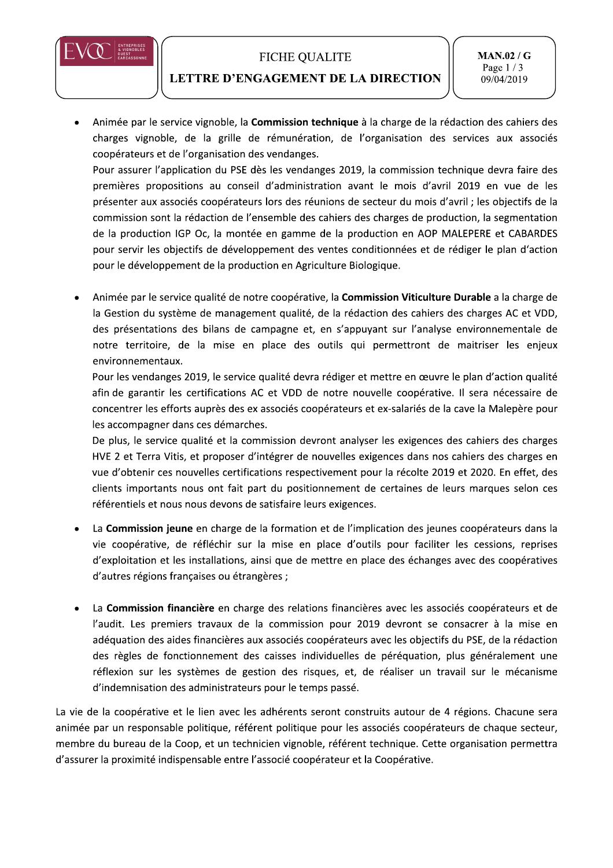



 $\overline{\phantom{0}}$ 

### LETTRE D'ENGAGEMENT DE LA DIRECTION

 $\overline{\phantom{0}}$ 

MAN.02/G<br>
ETTRE D'ENGAGEMENT DE LA DIRECTION<br>
Animée par le service vignoble, la Commission technique à la charge de la rédaction des cahiers des<br>
charges vignoble, de la grille de rémunération, de l'organisation des servi

présenter aux associés coopérateurs lors des réunions de secteur du mois d'avril ; les objectifs de la commission sont la rédaction de l'ensemble des cahiers des charges de production, la segmentation de la production IGP Oc, la montée en gamme de la production en AOP MALEPERE et CABARDES pour servir les objectifs de développement des ventes conditionnées et de rédiger le plan d'action pour le développement de la production en Agriculture Biologique.

Animée par le service qualité de notre coopérative, la Commission Viticulture Durable a la charge de la Gestion du système de management qualité, de la rédaction des cahiers des charges AC et VDD, des présentations des bilans de campagne et, en s'appuyant sur l'analyse environnementale de notre territoire, de la mise en place des outils qui permettront de maitriser les enjeux environnementaux.

Pour les vendanges 2019, le service qualité devra rédiger et mettre en œuvre le plan d'action qualité afin de garantir les certifications AC et VDD de notre nouvelle coopérative. Il sera nécessaire de concentrer les efforts auprès des ex associés coopérateurs et ex-salariés de la cave la Malepère pour les accompagner dans ces démarches.

De plus, le service qualité et la commission devront analyser les exigences des cahiers des charges HVE 2 et Terra Vitis, et proposer d'intégrer de nouvelles exigences dans nos cahiers des charges en vue d'obtenir ces nouvelles certifications respectivement pour la récolte 2019 et 2020. En effet, des clients importants nous ont fait part du positionnement de certaines de leurs marques selon ces référentiels et nous nous devons de satisfaire leurs exigences.

- La Commission jeune en charge de la formation et de l'implication des jeunes coopérateurs dans la vie coopérative, de réfléchir sur la mise en place d'outils pour faciliter les cessions, reprises d'exploitation et les installations, ainsi que de mettre en place des échanges avec des coopératives d'autres régions françaises ou étrangères ;
- La Commission financière en charge des relations financières avec les associés coopérateurs et de l'audit. Les premiers travaux de la commission pour 2019 devront se consacrer à la mise en adéquation des aides financières aux associés coopérateurs avec les objectifs du PSE, de la rédaction des règles de fonctionnement des caisses individuelles de péréquation, plus généralement une réflexion sur les systèmes de gestion des risques, et, de réaliser un travail sur le mécanisme d'indemnisation des administrateurs pour le temps passé.

La vie de la coopérative et le lien avec les adhérents seront construits autour de 4 régions. Chacune sera animée par un responsable politique, référent politique pour les associés coopérateurs de chaque secteur, membre du bureau de la Coop, et un technicien vignoble, référent technique. Cette organisation permettra d'assurer la proximité indispensable entre l'associé coopérateur et la Coopérative.